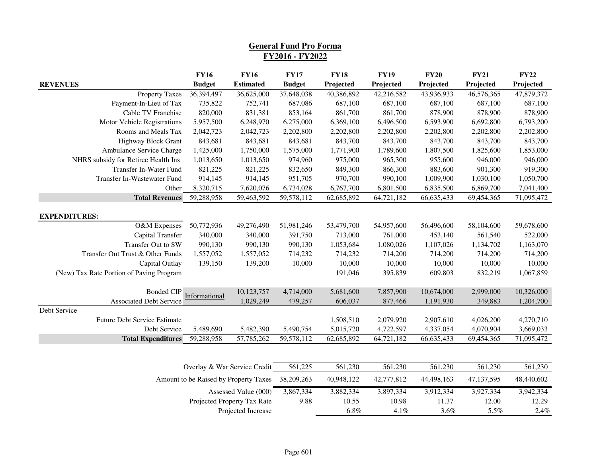|                                                     |                              |                                       | <b>General Fund Pro Forma</b> |                          |                          |                          |                          |                          |
|-----------------------------------------------------|------------------------------|---------------------------------------|-------------------------------|--------------------------|--------------------------|--------------------------|--------------------------|--------------------------|
|                                                     |                              |                                       | FY2016 - FY2022               |                          |                          |                          |                          |                          |
| <b>REVENUES</b>                                     | <b>FY16</b><br><b>Budget</b> | <b>FY16</b><br><b>Estimated</b>       | <b>FY17</b><br><b>Budget</b>  | <b>FY18</b><br>Projected | <b>FY19</b><br>Projected | <b>FY20</b><br>Projected | <b>FY21</b><br>Projected | <b>FY22</b><br>Projected |
| <b>Property Taxes</b>                               | 36,394,497                   | 36,625,000                            | 37,648,038                    | 40,386,892               | 42,216,582               | 43,936,933               | 46,576,365               | 47,879,372               |
| Payment-In-Lieu of Tax                              | 735,822                      | 752,741                               | 687,086                       | 687,100                  | 687,100                  | 687,100                  | 687,100                  | 687,100                  |
| Cable TV Franchise                                  | 820,000                      | 831,381                               | 853,164                       | 861,700                  | 861,700                  | 878,900                  | 878,900                  | 878,900                  |
| Motor Vehicle Registrations                         | 5,957,500                    | 6,248,970                             | 6,275,000                     | 6,369,100                | 6,496,500                | 6,593,900                | 6,692,800                | 6,793,200                |
| Rooms and Meals Tax                                 | 2,042,723                    | 2,042,723                             | 2,202,800                     | 2,202,800                | 2,202,800                | 2,202,800                | 2,202,800                | 2,202,800                |
| <b>Highway Block Grant</b>                          | 843,681                      | 843,681                               | 843,681                       | 843,700                  | 843,700                  | 843,700                  | 843,700                  | 843,700                  |
| Ambulance Service Charge                            | 1,425,000                    | 1,750,000                             | 1,575,000                     | 1,771,900                | 1,789,600                | 1,807,500                | 1,825,600                | 1,853,000                |
| NHRS subsidy for Retiree Health Ins                 | 1,013,650                    | 1,013,650                             | 974,960                       | 975,000                  | 965,300                  | 955,600                  | 946,000                  | 946,000                  |
| Transfer In-Water Fund                              | 821,225                      | 821,225                               | 832,650                       | 849,300                  | 866,300                  | 883,600                  | 901,300                  | 919,300                  |
| Transfer In-Wastewater Fund                         | 914,145                      | 914,145                               | 951,705                       | 970,700                  | 990,100                  | 1,009,900                | 1,030,100                | 1,050,700                |
| Other                                               | 8,320,715                    | 7,620,076                             | 6,734,028                     | 6,767,700                | 6,801,500                | 6,835,500                | 6,869,700                | 7,041,400                |
| <b>Total Revenues</b>                               | 59,288,958                   | 59,463,592                            | 59,578,112                    | 62,685,892               | 64,721,182               | 66,635,433               | 69,454,365               | 71,095,472               |
| <b>EXPENDITURES:</b>                                |                              |                                       |                               |                          |                          |                          |                          |                          |
| O&M Expenses                                        | 50,772,936                   | 49,276,490                            | 51,981,246                    | 53,479,700               | 54,957,600               | 56,496,600               | 58,104,600               | 59,678,600               |
| Capital Transfer                                    | 340,000                      | 340,000                               | 391,750                       | 713,000                  | 761,000                  | 453,140                  | 561,540                  | 522,000                  |
| Transfer Out to SW                                  | 990,130                      | 990,130                               | 990,130                       | 1,053,684                | 1,080,026                | 1,107,026                | 1,134,702                | 1,163,070                |
| Transfer Out Trust & Other Funds                    | 1,557,052                    | 1,557,052                             | 714,232                       | 714,232                  | 714,200                  | 714,200                  | 714,200                  | 714,200                  |
| Capital Outlay                                      | 139,150                      | 139,200                               | 10,000                        | 10,000                   | 10,000                   | 10,000                   | 10,000                   | 10,000                   |
| (New) Tax Rate Portion of Paving Program            |                              |                                       |                               | 191,046                  | 395,839                  | 609,803                  | 832,219                  | 1,067,859                |
| <b>Bonded CIP</b>                                   | Informational                | 10,123,757                            | 4,714,000                     | 5,681,600                | 7,857,900                | 10,674,000               | 2,999,000                | 10,326,000               |
| <b>Associated Debt Service</b>                      |                              | 1,029,249                             | 479,257                       | 606,037                  | 877,466                  | 1,191,930                | 349,883                  | 1,204,700                |
| Debt Service<br><b>Future Debt Service Estimate</b> |                              |                                       |                               | 1,508,510                | 2,079,920                | 2,907,610                | 4,026,200                | 4,270,710                |
| Debt Service                                        | 5,489,690                    | 5,482,390                             | 5,490,754                     | 5,015,720                | 4,722,597                | 4,337,054                | 4,070,904                | 3,669,033                |
| <b>Total Expenditures</b>                           | 59,288,958                   | 57,785,262                            | 59,578,112                    | 62,685,892               | 64,721,182               | 66,635,433               | 69,454,365               | 71,095,472               |
|                                                     |                              |                                       |                               |                          |                          |                          |                          |                          |
|                                                     |                              | Overlay & War Service Credit          | 561,225                       | 561,230                  | 561,230                  | 561,230                  | 561,230                  | 561,230                  |
|                                                     |                              | Amount to be Raised by Property Taxes | 38,209,263                    | 40,948,122               | 42,777,812               | 44,498,163               | 47,137,595               | 48,440,602               |
|                                                     |                              | Assessed Value (000)                  | 3,867,334                     | 3,882,334                | 3,897,334                | 3,912,334                | 3,927,334                | 3,942,334                |
|                                                     |                              | Projected Property Tax Rate           | 9.88                          | 10.55                    | 10.98                    | 11.37                    | 12.00                    | 12.29                    |
|                                                     |                              | Projected Increase                    |                               | $6.8\%$                  | 4.1%                     | 3.6%                     | 5.5%                     | 2.4%                     |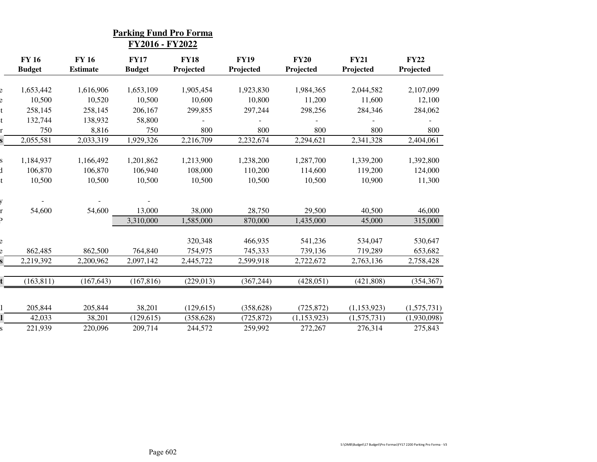|                               |                                 | <u>Parking Fund Pro Forma</u><br>FY2016 - FY2022 |                          |                          |                          |                          |                          |
|-------------------------------|---------------------------------|--------------------------------------------------|--------------------------|--------------------------|--------------------------|--------------------------|--------------------------|
| <b>FY 16</b><br><b>Budget</b> | <b>FY 16</b><br><b>Estimate</b> | <b>FY17</b><br><b>Budget</b>                     | <b>FY18</b><br>Projected | <b>FY19</b><br>Projected | <b>FY20</b><br>Projected | <b>FY21</b><br>Projected | <b>FY22</b><br>Projected |
| 1,653,442                     | 1,616,906                       | 1,653,109                                        | 1,905,454                | 1,923,830                | 1,984,365                | 2,044,582                | 2,107,099                |
| 10,500                        | 10,520                          | 10,500                                           | 10,600                   | 10,800                   | 11,200                   | 11,600                   | 12,100                   |
| 258,145                       | 258,145                         | 206,167                                          | 299,855                  | 297,244                  | 298,256                  | 284,346                  | 284,062                  |
| 132,744                       | 138,932                         | 58,800                                           |                          |                          |                          |                          |                          |
| 750                           | 8,816                           | 750                                              | 800                      | 800                      | 800                      | 800                      | 800                      |
| 2,055,581                     | 2,033,319                       | 1,929,326                                        | 2,216,709                | 2,232,674                | 2,294,621                | 2,341,328                | 2,404,061                |
|                               |                                 |                                                  |                          |                          |                          |                          |                          |
| 1,184,937                     | 1,166,492                       | 1,201,862                                        | 1,213,900                | 1,238,200                | 1,287,700                | 1,339,200                | 1,392,800                |
| 106,870                       | 106,870                         | 106,940                                          | 108,000                  | 110,200                  | 114,600                  | 119,200                  | 124,000                  |
| 10,500                        | 10,500                          | 10,500                                           | 10,500                   | 10,500                   | 10,500                   | 10,900                   | 11,300                   |
|                               |                                 |                                                  |                          |                          |                          |                          |                          |
| 54,600                        | 54,600                          | 13,000                                           | 38,000                   | 28,750                   | 29,500                   | 40,500                   | 46,000                   |
|                               |                                 | 3,310,000                                        | 1,585,000                | 870,000                  | 1,435,000                | 45,000                   | 315,000                  |
|                               |                                 |                                                  |                          |                          |                          |                          |                          |
|                               |                                 |                                                  | 320,348                  | 466,935                  | 541,236                  | 534,047                  | 530,647                  |
| 862,485                       | 862,500                         | 764,840                                          | 754,975                  | 745,333                  | 739,136                  | 719,289                  | 653,682                  |
| 2,219,392                     | 2,200,962                       | 2,097,142                                        | 2,445,722                | 2,599,918                | 2,722,672                | 2,763,136                | 2,758,428                |
|                               |                                 |                                                  |                          |                          |                          |                          |                          |
| (163, 811)                    | (167, 643)                      | (167, 816)                                       | (229, 013)               | (367, 244)               | (428, 051)               | (421, 808)               | (354, 367)               |
|                               |                                 |                                                  |                          |                          |                          |                          |                          |
| 205,844                       | 205,844                         | 38,201                                           | (129, 615)               | (358, 628)               | (725, 872)               | (1,153,923)              | (1,575,731)              |
| 42,033                        | 38,201                          | (129, 615)                                       | (358, 628)               | (725, 872)               | (1, 153, 923)            | (1,575,731)              | (1,930,098)              |
| 221,939                       | 220,096                         | 209,714                                          | 244,572                  | 259,992                  | 272,267                  | 276,314                  | 275,843                  |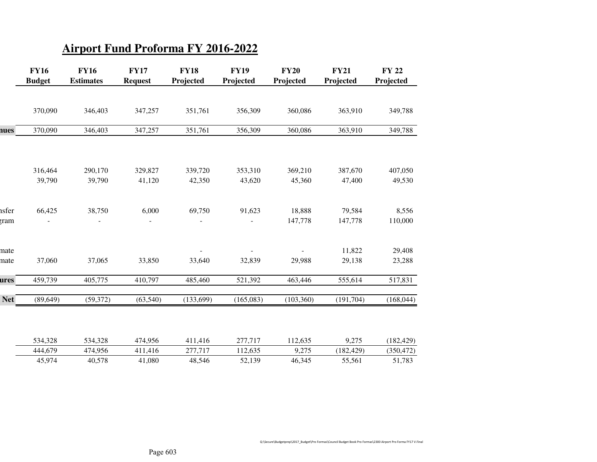## **Airport Fund Proforma FY 2016-2022**

|            | <b>FY16</b><br><b>Budget</b> | <b>FY16</b><br><b>Estimates</b> | <b>FY17</b><br><b>Request</b> | <b>FY18</b><br>Projected | <b>FY19</b><br>Projected | <b>FY20</b><br>Projected | <b>FY21</b><br>Projected | <b>FY 22</b><br>Projected |
|------------|------------------------------|---------------------------------|-------------------------------|--------------------------|--------------------------|--------------------------|--------------------------|---------------------------|
|            |                              |                                 |                               |                          |                          |                          |                          |                           |
|            | 370,090                      | 346,403                         | 347,257                       | 351,761                  | 356,309                  | 360,086                  | 363,910                  | 349,788                   |
| nues       | 370,090                      | 346,403                         | 347,257                       | 351,761                  | 356,309                  | 360,086                  | 363,910                  | 349,788                   |
|            |                              |                                 |                               |                          |                          |                          |                          |                           |
|            | 316,464                      | 290,170                         | 329,827                       | 339,720                  | 353,310                  | 369,210                  | 387,670                  | 407,050                   |
|            | 39,790                       | 39,790                          | 41,120                        | 42,350                   | 43,620                   | 45,360                   | 47,400                   | 49,530                    |
| ısfer      | 66,425                       | 38,750                          | 6,000                         | 69,750                   | 91,623                   | 18,888                   | 79,584                   | 8,556                     |
| rram       |                              |                                 |                               |                          |                          | 147,778                  | 147,778                  | 110,000                   |
| nate       |                              |                                 |                               |                          |                          |                          | 11,822                   | 29,408                    |
| nate       | 37,060                       | 37,065                          | 33,850                        | 33,640                   | 32,839                   | 29,988                   | 29,138                   | 23,288                    |
| ures       | 459,739                      | 405,775                         | 410,797                       | 485,460                  | 521,392                  | 463,446                  | 555,614                  | 517,831                   |
| <b>Net</b> | (89, 649)                    | (59, 372)                       | (63,540)                      | (133, 699)               | (165,083)                | (103, 360)               | (191,704)                | (168, 044)                |
|            |                              |                                 |                               |                          |                          |                          |                          |                           |
|            | 534,328                      | 534,328                         | 474,956                       | 411,416                  | 277,717                  | 112,635                  | 9,275                    | (182, 429)                |
|            | 444,679                      | 474,956                         | 411,416                       | 277,717                  | 112,635                  | 9,275                    | (182, 429)               | (350, 472)                |
|            | 45,974                       | 40,578                          | 41,080                        | 48,546                   | 52,139                   | 46,345                   | 55,561                   | 51,783                    |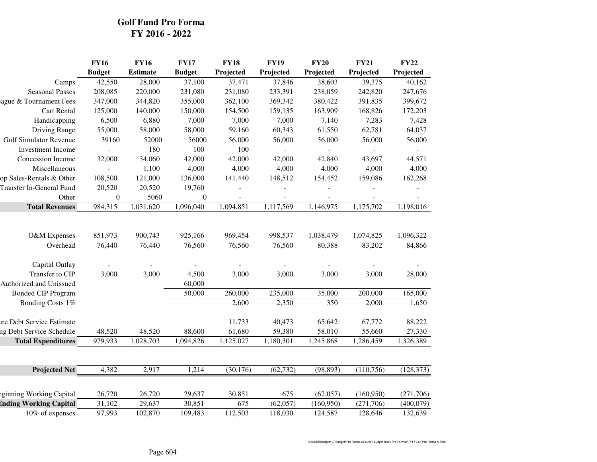## **Golf Fund Pro FormaFY 2016 - 2022**

|                               | <b>FY16</b>       | <b>FY16</b>       | <b>FY17</b>       | <b>FY18</b>       | <b>FY19</b>       | <b>FY20</b>         | <b>FY21</b>         | <b>FY22</b>         |
|-------------------------------|-------------------|-------------------|-------------------|-------------------|-------------------|---------------------|---------------------|---------------------|
|                               | <b>Budget</b>     | <b>Estimate</b>   | <b>Budget</b>     | Projected         | Projected         | Projected           | Projected           | Projected           |
| Camps                         | 42,550            | 28,000            | 37,100            | 37,471            | 37,846            | 38,603              | 39,375              | 40,162              |
| <b>Seasonal Passes</b>        | 208,085           | 220,000           | 231,080           | 231,080           | 233,391           | 238,059             | 242,820             | 247,676             |
| ague & Tournament Fees        | 347,000           | 344,820           | 355,000           | 362,100           | 369,342           | 380,422             | 391,835             | 399,672             |
| <b>Cart Rental</b>            | 125,000           | 140,000           | 150,000           | 154,500           | 159,135           | 163,909             | 168,826             | 172,203             |
| Handicapping                  | 6,500             | 6,880             | 7,000             | 7,000             | 7,000             | 7,140               | 7,283               | 7,428               |
| Driving Range                 | 55,000            | 58,000            | 58,000            | 59,160            | 60,343            | 61,550              | 62,781              | 64,037              |
| <b>Golf Simulator Revenue</b> | 39160             | 52000             | 56000             | 56,000            | 56,000            | 56,000              | 56,000              | 56,000              |
| <b>Investment Income</b>      |                   | 180               | 100               | 100               |                   |                     |                     |                     |
| Concession Income             | 32,000            | 34,060            | 42,000            | 42,000            | 42,000            | 42,840              | 43,697              | 44,571              |
| Miscellaneous                 |                   | 1,100             | 4,000             | 4,000             | 4,000             | 4,000               | 4,000               | 4,000               |
| op Sales-Rentals & Other      | 108,500           | 121,000           | 136,000           | 141,440           | 148,512           | 154,452             | 159,086             | 162,268             |
| Transfer In-General Fund      | 20,520            | 20,520            | 19,760            |                   |                   |                     |                     |                     |
| Other                         | $\mathbf{0}$      | 5060              | $\mathbf{0}$      |                   |                   |                     |                     |                     |
| <b>Total Revenues</b>         | 984,315           | 1,031,620         | 1,096,040         | 1,094,851         | 1,117,569         | 1,146,975           | 1,175,702           | 1,198,016           |
| O&M Expenses<br>Overhead      | 851,973<br>76,440 | 900,743<br>76,440 | 925,166<br>76,560 | 969,454<br>76,560 | 998,537<br>76,560 | 1,038,479<br>80,388 | 1,074,825<br>83,202 | 1,096,322<br>84,866 |
| Capital Outlay                |                   |                   |                   |                   |                   |                     |                     |                     |
| Transfer to CIP               | 3,000             | 3,000             | 4,500             | 3,000             | 3,000             | 3,000               | 3,000               | 28,000              |
| Authorized and Unissued       |                   |                   | 60,000            |                   |                   |                     |                     |                     |
| <b>Bonded CIP Program</b>     |                   |                   | 50,000            | 260,000           | 235,000           | 35,000              | 200,000             | 165,000             |
| Bonding Costs 1%              |                   |                   |                   | 2,600             | 2,350             | 350                 | 2,000               | 1,650               |
| ure Debt Service Estimate     |                   |                   |                   | 11,733            | 40,473            | 65,642              | 67,772              | 88,222              |
| ng Debt Service Schedule      | 48,520            | 48,520            | 88,600            | 61,680            | 59,380            | 58,010              | 55,660              | 27,330              |
| <b>Total Expenditures</b>     | 979,933           | 1,028,703         | 1,094,826         | 1,125,027         | 1,180,301         | 1,245,868           | 1,286,459           | 1,326,389           |
| <b>Projected Net</b>          | 4,382             | 2,917             | 1,214             | (30, 176)         | (62, 732)         | (98, 893)           | (110, 756)          | (128, 373)          |
|                               |                   |                   |                   |                   |                   |                     |                     |                     |
| eginning Working Capital      | 26,720            | 26,720            | 29,637            | 30,851            | 675               | (62,057)            | (160,950)           | (271,706)           |
| <b>Ending Working Capital</b> | 31,102            | 29,637            | 30,851            | 675               | (62,057)          | (160, 950)          | (271,706)           | (400,079)           |
| 10% of expenses               | 97,993            | 102,870           | 109,483           | 112,503           | 118,030           | 124,587             | 128,646             | 132,639             |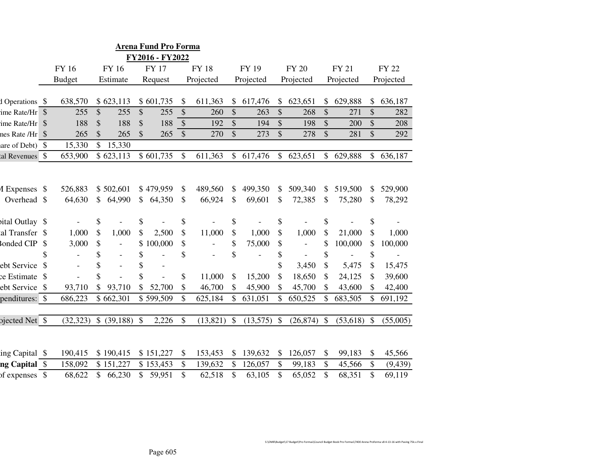|                  | <b>Arena Fund Pro Forma</b> |               |                |                          |               |              |                           |             |               |           |               |                          |               |               |               |              |
|------------------|-----------------------------|---------------|----------------|--------------------------|---------------|--------------|---------------------------|-------------|---------------|-----------|---------------|--------------------------|---------------|---------------|---------------|--------------|
| FY2016 - FY2022  |                             |               |                |                          |               |              |                           |             |               |           |               |                          |               |               |               |              |
|                  |                             | FY 16         |                | <b>FY 16</b>             |               | <b>FY 17</b> |                           | <b>FY18</b> |               | FY 19     |               | <b>FY 20</b>             |               | FY 21         |               | <b>FY 22</b> |
|                  |                             | <b>Budget</b> |                | Estimate                 |               | Request      |                           | Projected   |               | Projected |               | Projected                |               | Projected     |               | Projected    |
|                  |                             |               |                |                          |               |              |                           |             |               |           |               |                          |               |               |               |              |
| d Operations \$  |                             | 638,570       |                | \$623,113                |               | \$601,735    | \$                        | 611,363     | \$            | 617,476   | \$            | 623,651                  | \$            | 629,888       | \$            | 636,187      |
| ime Rate/Hr \$   |                             | 255           | \$             | 255                      | \$            | 255          | \$                        | 260         | \$            | 263       | $\mathcal{S}$ | 268                      | \$            | 271           | \$            | 282          |
| ime Rate/Hr \$   |                             | 188           | \$             | 188                      | $\mathcal{S}$ | 188          | $\$\$                     | 192         | \$            | 194       | $\mathcal{S}$ | 198                      | \$            | 200           | $\mathcal{S}$ | 208          |
| nes Rate /Hr \$  |                             | 265           | \$             | 265                      | \$            | 265          | $\boldsymbol{\mathsf{S}}$ | 270         | $\mathcal{S}$ | 273       | \$            | 278                      | \$            | 281           | $\mathbb{S}$  | 292          |
| are of Debt) $\$ |                             | 15,330        | \$             | 15,330                   |               |              |                           |             |               |           |               |                          |               |               |               |              |
| al Revenues \$   |                             | 653,900       |                | \$623,113                |               | \$601,735    | \$                        | 611,363     | \$            | 617,476   | \$            | 623,651                  | \$            | 629,888       | \$            | 636,187      |
|                  |                             |               |                |                          |               |              |                           |             |               |           |               |                          |               |               |               |              |
| 1 Expenses \$    |                             | 526,883       |                | \$502,601                |               | \$479,959    | \$                        | 489,560     | \$            | 499,350   | \$            | 509,340                  | \$            | 519,500       | \$            | 529,900      |
| Overhead \$      |                             | 64,630        | $\mathbb{S}$   | 64,990                   | \$            | 64,350       | \$                        | 66,924      | \$            | 69,601    | \$            | 72,385                   | $\mathcal{S}$ | 75,280        | \$            | 78,292       |
|                  |                             |               |                |                          |               |              |                           |             |               |           |               |                          |               |               |               |              |
| sital Outlay \$  |                             |               | \$             |                          | \$            |              | \$                        |             | \$            |           | \$            |                          | \$            |               | \$            |              |
| al Transfer \$   |                             | 1,000         | \$             | 1,000                    | \$            | 2,500        | \$                        | 11,000      | \$            | 1,000     | \$            | 1,000                    | \$            | 21,000        | \$            | 1,000        |
| onded CIP        | \$                          | 3,000         | \$             | $\overline{\phantom{a}}$ | \$            | 100,000      | \$                        |             | \$            | 75,000    | \$            | $\overline{\phantom{a}}$ | \$            | 100,000       | \$            | 100,000      |
|                  | \$                          |               | \$             |                          | \$            |              | \$                        |             | \$            |           | \$            |                          | \$            |               | \$            |              |
| ebt Service      |                             |               | \$             | $\overline{\phantom{a}}$ | \$            |              |                           |             |               |           | \$            | 3,450                    | \$            | 5,475         | \$            | 15,475       |
| ce Estimate \$   |                             |               | \$             |                          | \$            |              | \$                        | 11,000      | \$            | 15,200    | \$            | 18,650                   | \$            | 24,125        | \$            | 39,600       |
| ebt Service \$   |                             | 93,710        |                | 93,710                   |               | 52,700       | \$                        | 46,700      | \$            | 45,900    |               | 45,700                   | \$            | 43,600        | \$            | 42,400       |
| penditures: \$   |                             | 686,223       |                | \$662,301                |               | \$599,509    | \$                        | 625,184     | \$            | 631,051   | \$            | 650,525                  | \$            | 683,505       | \$            | 691,192      |
|                  |                             |               |                |                          |               |              |                           |             |               |           |               |                          |               |               |               |              |
| ojected Net \$   |                             | (32, 323)     |                | $$ (39,188)$ \\$         |               | 2,226        | \$                        | (13, 821)   | \$            | (13,575)  | $\mathcal{S}$ | (26, 874)                | \$            | $(53,618)$ \$ |               | (55,005)     |
|                  |                             |               |                |                          |               |              |                           |             |               |           |               |                          |               |               |               |              |
| ing Capital \$   |                             | 190,415       |                | \$190,415                |               | \$151,227    | \$                        | 153,453     | \$            | 139,632   | \$            | 126,057                  | \$            | 99,183        | \$            | 45,566       |
| ng Capital \$    |                             | 158,092       |                | \$151,227                |               | \$153,453    | \$                        | 139,632     | \$            | 126,057   | \$            | 99,183                   | \$            | 45,566        | \$            | (9, 439)     |
| of expenses \$   |                             | 68,622        | $\mathbb{S}^-$ | 66,230                   | \$            | 59,951       | \$                        | 62,518      | \$            | 63,105    | \$            | 65,052                   | \$            | 68,351        | \$            | 69,119       |
|                  |                             |               |                |                          |               |              |                           |             |               |           |               |                          |               |               |               |              |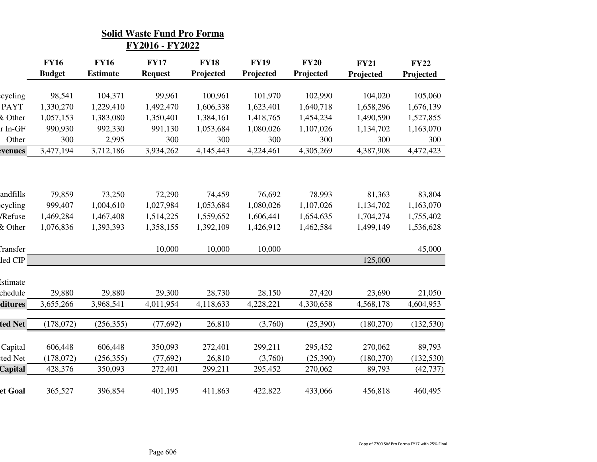|               |                              |                                | <b>Solid Waste Fund Pro Forma</b><br>FY2016 - FY2022 |                          |                          |                          |                          |                          |
|---------------|------------------------------|--------------------------------|------------------------------------------------------|--------------------------|--------------------------|--------------------------|--------------------------|--------------------------|
|               | <b>FY16</b><br><b>Budget</b> | <b>FY16</b><br><b>Estimate</b> | <b>FY17</b><br><b>Request</b>                        | <b>FY18</b><br>Projected | <b>FY19</b><br>Projected | <b>FY20</b><br>Projected | <b>FY21</b><br>Projected | <b>FY22</b><br>Projected |
|               |                              |                                |                                                      |                          |                          |                          |                          |                          |
| eycling       | 98,541                       | 104,371                        | 99,961                                               | 100,961                  | 101,970                  | 102,990                  | 104,020                  | 105,060                  |
| <b>PAYT</b>   | 1,330,270                    | 1,229,410                      | 1,492,470                                            | 1,606,338                | 1,623,401                | 1,640,718                | 1,658,296                | 1,676,139                |
| & Other       | 1,057,153                    | 1,383,080                      | 1,350,401                                            | 1,384,161                | 1,418,765                | 1,454,234                | 1,490,590                | 1,527,855                |
| r In-GF       | 990,930                      | 992,330                        | 991,130                                              | 1,053,684                | 1,080,026                | 1,107,026                | 1,134,702                | 1,163,070                |
| Other         | 300                          | 2,995                          | 300                                                  | 300                      | 300                      | 300                      | 300                      | 300                      |
| <b>venues</b> | 3,477,194                    | 3,712,186                      | 3,934,262                                            | 4,145,443                | 4,224,461                | 4,305,269                | 4,387,908                | 4,472,423                |
|               |                              |                                |                                                      |                          |                          |                          |                          |                          |
| andfills      | 79,859                       | 73,250                         | 72,290                                               | 74,459                   | 76,692                   | 78,993                   | 81,363                   | 83,804                   |
| cycling       | 999,407                      | 1,004,610                      | 1,027,984                                            | 1,053,684                | 1,080,026                | 1,107,026                | 1,134,702                | 1,163,070                |
| /Refuse       | 1,469,284                    | 1,467,408                      | 1,514,225                                            | 1,559,652                | 1,606,441                | 1,654,635                | 1,704,274                | 1,755,402                |
| & Other       | 1,076,836                    | 1,393,393                      | 1,358,155                                            | 1,392,109                | 1,426,912                | 1,462,584                | 1,499,149                | 1,536,628                |
| Transfer      |                              |                                | 10,000                                               | 10,000                   | 10,000                   |                          |                          | 45,000                   |
| ded CIP       |                              |                                |                                                      |                          |                          |                          | 125,000                  |                          |
| istimate      |                              |                                |                                                      |                          |                          |                          |                          |                          |
| chedule       | 29,880                       | 29,880                         | 29,300                                               | 28,730                   | 28,150                   | 27,420                   | 23,690                   | 21,050                   |
| ditures       | 3,655,266                    | 3,968,541                      | 4,011,954                                            | 4,118,633                | 4,228,221                | 4,330,658                | 4,568,178                | 4,604,953                |
| ted Net       | (178,072)                    | (256, 355)                     | (77, 692)                                            | 26,810                   | (3,760)                  | (25,390)                 | (180, 270)               | (132, 530)               |
|               |                              |                                |                                                      |                          |                          |                          |                          |                          |
| Capital       | 606,448                      | 606,448                        | 350,093                                              | 272,401                  | 299,211                  | 295,452                  | 270,062                  | 89,793                   |
| ted Net       | (178,072)                    | (256, 355)                     | (77, 692)                                            | 26,810                   | (3,760)                  | (25,390)                 | (180, 270)               | (132, 530)               |
| Capital       | 428,376                      | 350,093                        | 272,401                                              | 299,211                  | 295,452                  | 270,062                  | 89,793                   | (42, 737)                |
| et Goal       | 365,527                      | 396,854                        | 401,195                                              | 411,863                  | 422,822                  | 433,066                  | 456,818                  | 460,495                  |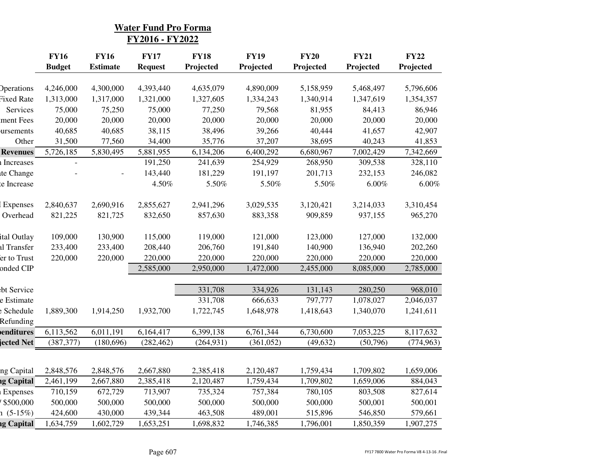|                   |               |                 | <b>Water Fund Pro Forma</b><br>FY2016 - FY2022 |             |             |             |             |             |
|-------------------|---------------|-----------------|------------------------------------------------|-------------|-------------|-------------|-------------|-------------|
|                   | <b>FY16</b>   | <b>FY16</b>     | <b>FY17</b>                                    | <b>FY18</b> | <b>FY19</b> | <b>FY20</b> | <b>FY21</b> | <b>FY22</b> |
|                   | <b>Budget</b> | <b>Estimate</b> | <b>Request</b>                                 | Projected   | Projected   | Projected   | Projected   | Projected   |
| <b>Operations</b> | 4,246,000     | 4,300,000       | 4,393,440                                      | 4,635,079   | 4,890,009   | 5,158,959   | 5,468,497   | 5,796,606   |
| Fixed Rate        | 1,313,000     | 1,317,000       | 1,321,000                                      | 1,327,605   | 1,334,243   | 1,340,914   | 1,347,619   | 1,354,357   |
| Services          | 75,000        | 75,250          | 75,000                                         | 77,250      | 79,568      | 81,955      | 84,413      | 86,946      |
| ment Fees         | 20,000        | 20,000          | 20,000                                         | 20,000      | 20,000      | 20,000      | 20,000      | 20,000      |
| ursements         | 40,685        | 40,685          | 38,115                                         | 38,496      | 39,266      | 40,444      | 41,657      | 42,907      |
| Other             | 31,500        | 77,560          | 34,400                                         | 35,776      | 37,207      | 38,695      | 40,243      | 41,853      |
| <b>Revenues</b>   | 5,726,185     | 5,830,495       | 5,881,955                                      | 6,134,206   | 6,400,292   | 6,680,967   | 7,002,429   | 7,342,669   |
| Increases         |               |                 | 191,250                                        | 241,639     | 254,929     | 268,950     | 309,538     | 328,110     |
| te Change         |               |                 | 143,440                                        | 181,229     | 191,197     | 201,713     | 232,153     | 246,082     |
| e Increase        |               |                 | 4.50%                                          | 5.50%       | 5.50%       | 5.50%       | 6.00%       | $6.00\%$    |
| Expenses          | 2,840,637     | 2,690,916       | 2,855,627                                      | 2,941,296   | 3,029,535   | 3,120,421   | 3,214,033   | 3,310,454   |
| Overhead          | 821,225       | 821,725         | 832,650                                        | 857,630     | 883,358     | 909,859     | 937,155     | 965,270     |
| ital Outlay       | 109,000       | 130,900         | 115,000                                        | 119,000     | 121,000     | 123,000     | 127,000     | 132,000     |
| al Transfer       | 233,400       | 233,400         | 208,440                                        | 206,760     | 191,840     | 140,900     | 136,940     | 202,260     |
| er to Trust       | 220,000       | 220,000         | 220,000                                        | 220,000     | 220,000     | 220,000     | 220,000     | 220,000     |
| onded CIP         |               |                 | 2,585,000                                      | 2,950,000   | 1,472,000   | 2,455,000   | 8,085,000   | 2,785,000   |
| bt Service        |               |                 |                                                | 331,708     | 334,926     | 131,143     | 280,250     | 968,010     |
| e Estimate        |               |                 |                                                | 331,708     | 666,633     | 797,777     | 1,078,027   | 2,046,037   |
| Schedule          | 1,889,300     | 1,914,250       | 1,932,700                                      | 1,722,745   | 1,648,978   | 1,418,643   | 1,340,070   | 1,241,611   |
| Refunding         |               |                 |                                                |             |             |             |             |             |
| enditures         | 6,113,562     | 6,011,191       | 6,164,417                                      | 6,399,138   | 6,761,344   | 6,730,600   | 7,053,225   | 8,117,632   |
| ected Net         | (387, 377)    | (180,696)       | (282, 462)                                     | (264, 931)  | (361,052)   | (49, 632)   | (50,796)    | (774, 963)  |
|                   |               |                 |                                                |             |             |             |             |             |
| ng Capital        | 2,848,576     | 2,848,576       | 2,667,880                                      | 2,385,418   | 2,120,487   | 1,759,434   | 1,709,802   | 1,659,006   |
| ng Capital        | 2,461,199     | 2,667,880       | 2,385,418                                      | 2,120,487   | 1,759,434   | 1,709,802   | 1,659,006   | 884,043     |
| Expenses          | 710,159       | 672,729         | 713,907                                        | 735,324     | 757,384     | 780,105     | 803,508     | 827,614     |
| \$500,000         | 500,000       | 500,000         | 500,000                                        | 500,000     | 500,000     | 500,000     | 500,001     | 500,001     |
| $1(5-15%)$        | 424,600       | 430,000         | 439,344                                        | 463,508     | 489,001     | 515,896     | 546,850     | 579,661     |
| ng Capital        | 1,634,759     | 1,602,729       | 1,653,251                                      | 1,698,832   | 1,746,385   | 1,796,001   | 1,850,359   | 1,907,275   |